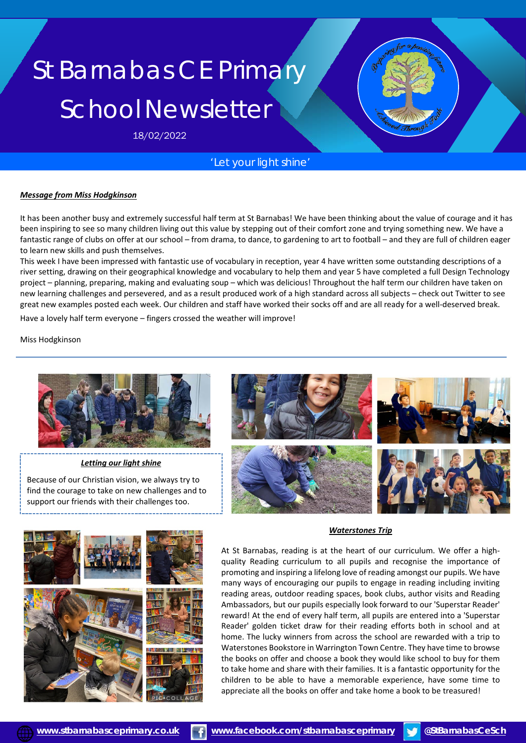# St Barnabas CE Primary School Newsletter

18/02/2022

### *'Let your light shine'*

#### *Message from Miss Hodgkinson*

It has been another busy and extremely successful half term at St Barnabas! We have been thinking about the value of courage and it has been inspiring to see so many children living out this value by stepping out of their comfort zone and trying something new. We have a fantastic range of clubs on offer at our school – from drama, to dance, to gardening to art to football – and they are full of children eager to learn new skills and push themselves.

This week I have been impressed with fantastic use of vocabulary in reception, year 4 have written some outstanding descriptions of a river setting, drawing on their geographical knowledge and vocabulary to help them and year 5 have completed a full Design Technology project – planning, preparing, making and evaluating soup – which was delicious! Throughout the half term our children have taken on new learning challenges and persevered, and as a result produced work of a high standard across all subjects – check out Twitter to see great new examples posted each week. Our children and staff have worked their socks off and are all ready for a well-deserved break.

Have a lovely half term everyone – fingers crossed the weather will improve!

Miss Hodgkinson



#### *Letting our light shine*

Because of our Christian vision, we always try to find the courage to take on new challenges and to support our friends with their challenges too.



# *Waterstones Trip*

At St Barnabas, reading is at the heart of our curriculum. We offer a highquality Reading curriculum to all pupils and recognise the importance of promoting and inspiring a lifelong love of reading amongst our pupils. We have many ways of encouraging our pupils to engage in reading including inviting reading areas, outdoor reading spaces, book clubs, author visits and Reading Ambassadors, but our pupils especially look forward to our 'Superstar Reader' reward! At the end of every half term, all pupils are entered into a 'Superstar Reader' golden ticket draw for their reading efforts both in school and at home. The lucky winners from across the school are rewarded with a trip to Waterstones Bookstore in Warrington Town Centre. They have time to browse the books on offer and choose a book they would like school to buy for them to take home and share with their families. It is a fantastic opportunity for the children to be able to have a memorable experience, have some time to appreciate all the books on offer and take home a book to be treasured!